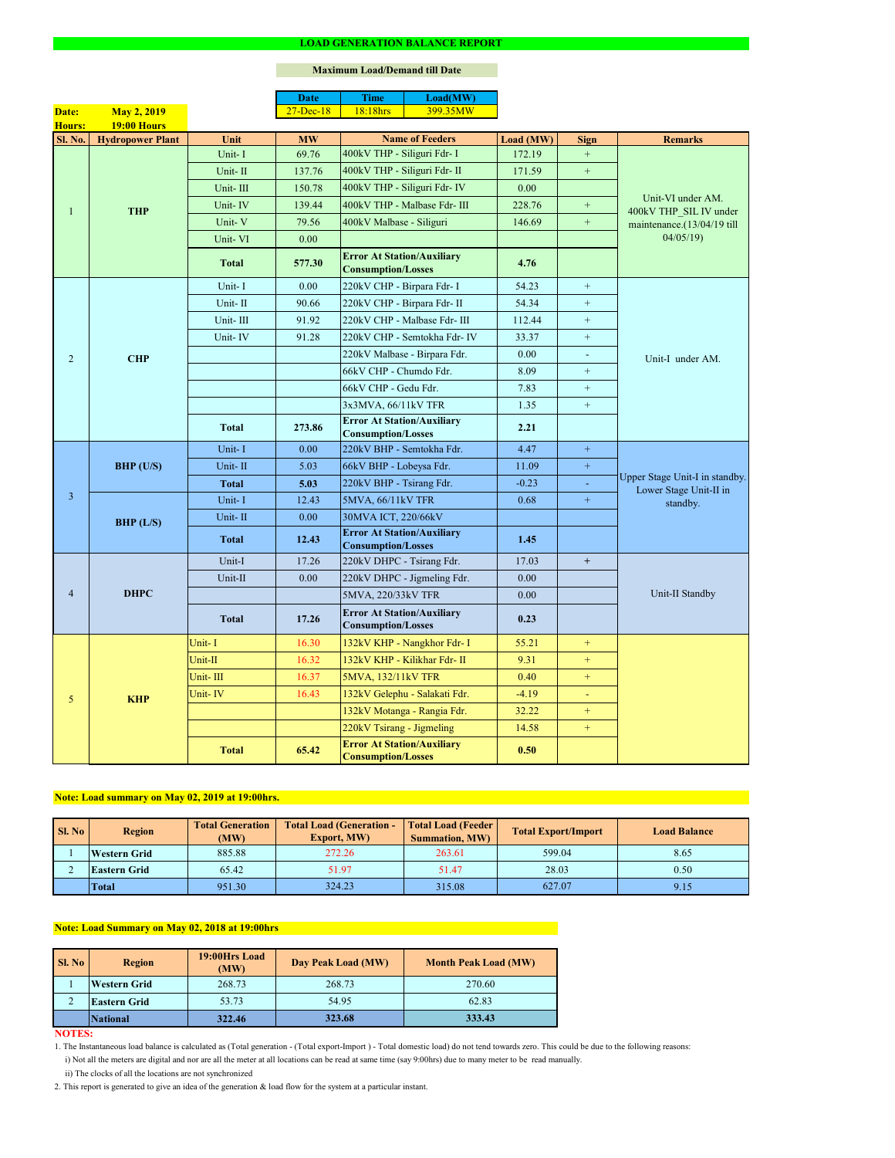#### **NOTES:**

|                |                         |              | <b>Date</b>       | <b>Time</b>                                                    | Load(MW)                      |           |                  |                                                                           |  |
|----------------|-------------------------|--------------|-------------------|----------------------------------------------------------------|-------------------------------|-----------|------------------|---------------------------------------------------------------------------|--|
| Date:          | <b>May 2, 2019</b>      |              | $27 - Dec-18$     | 18:18hrs                                                       | 399.35MW                      |           |                  |                                                                           |  |
| <b>Hours:</b>  | <b>19:00 Hours</b>      |              |                   |                                                                |                               |           |                  |                                                                           |  |
| Sl. No.        | <b>Hydropower Plant</b> | Unit         | <b>MW</b>         |                                                                | <b>Name of Feeders</b>        | Load (MW) | <b>Sign</b>      | <b>Remarks</b>                                                            |  |
|                |                         | Unit-I       | 69.76             | 400kV THP - Siliguri Fdr- I                                    |                               | 172.19    |                  |                                                                           |  |
|                |                         | Unit-II      | 137.76            | 400kV THP - Siliguri Fdr- II                                   |                               | 171.59    | $\pm$            |                                                                           |  |
|                |                         | Unit-III     | 150.78            |                                                                | 400kV THP - Siliguri Fdr- IV  | 0.00      |                  | Unit-VI under AM.<br>400kV THP SIL IV under<br>maintenance.(13/04/19 till |  |
| 1              | <b>THP</b>              | Unit-IV      | 139.44            |                                                                | 400kV THP - Malbase Fdr- III  | 228.76    | $+$              |                                                                           |  |
|                |                         | Unit-V       | 79.56             | 400kV Malbase - Siliguri                                       |                               | 146.69    | $+$              |                                                                           |  |
|                |                         | Unit-VI      | 0.00              |                                                                |                               |           |                  | 04/05/19                                                                  |  |
|                |                         | <b>Total</b> | 577.30            | <b>Error At Station/Auxiliary</b><br><b>Consumption/Losses</b> |                               | 4.76      |                  |                                                                           |  |
|                |                         | Unit-I       | 0.00              | 220kV CHP - Birpara Fdr- I                                     |                               | 54.23     | $\pm$            |                                                                           |  |
|                |                         | Unit-II      | 90.66             |                                                                | 220kV CHP - Birpara Fdr- II   | 54.34     | $+$              |                                                                           |  |
|                |                         | Unit-III     | 91.92             |                                                                | 220kV CHP - Malbase Fdr- III  | 112.44    | $+$              |                                                                           |  |
|                |                         | Unit-IV      | 91.28             |                                                                | 220kV CHP - Semtokha Fdr- IV  | 33.37     | $+$              |                                                                           |  |
| $\overline{2}$ | <b>CHP</b>              |              |                   |                                                                | 220kV Malbase - Birpara Fdr.  | 0.00      | $\blacksquare$   | Unit-I under AM.                                                          |  |
|                |                         |              |                   | 66kV CHP - Chumdo Fdr.                                         |                               | 8.09      | $\boldsymbol{+}$ |                                                                           |  |
|                |                         |              |                   | 66kV CHP - Gedu Fdr.                                           |                               | 7.83      | $+$              |                                                                           |  |
|                |                         |              |                   | 3x3MVA, 66/11kV TFR                                            |                               | 1.35      | $+$              |                                                                           |  |
|                |                         | <b>Total</b> | 273.86            | <b>Error At Station/Auxiliary</b><br><b>Consumption/Losses</b> |                               | 2.21      |                  |                                                                           |  |
|                | BHP (U/S)               | Unit-I       | 0.00              | 220kV BHP - Semtokha Fdr.                                      |                               | 4.47      | $\pm$            | Upper Stage Unit-I in standby.<br>Lower Stage Unit-II in<br>standby.      |  |
|                |                         | Unit-II      | 5.03              | 66kV BHP - Lobeysa Fdr.                                        |                               | 11.09     | $\pm$            |                                                                           |  |
|                |                         | <b>Total</b> | 5.03              | 220kV BHP - Tsirang Fdr.                                       |                               | $-0.23$   |                  |                                                                           |  |
| $\overline{3}$ |                         | Unit-I       | 12.43             | 5MVA, 66/11kV TFR                                              |                               | 0.68      | $+$              |                                                                           |  |
|                |                         | Unit-II      | 0.00              | 30MVA ICT, 220/66kV                                            |                               |           |                  |                                                                           |  |
|                | BHP (L/S)               | <b>Total</b> | 12.43             | <b>Error At Station/Auxiliary</b><br><b>Consumption/Losses</b> |                               | 1.45      |                  |                                                                           |  |
|                | <b>DHPC</b>             | Unit-I       | 17.26             | 220kV DHPC - Tsirang Fdr.                                      |                               | 17.03     | $+$              |                                                                           |  |
|                |                         | Unit-II      | 0.00 <sub>1</sub> |                                                                | 220kV DHPC - Jigmeling Fdr.   | 0.00      |                  |                                                                           |  |
| $\overline{4}$ |                         |              |                   | 5MVA, 220/33kV TFR                                             |                               | 0.00      |                  | Unit-II Standby                                                           |  |
|                |                         | <b>Total</b> | 17.26             | <b>Error At Station/Auxiliary</b><br><b>Consumption/Losses</b> |                               | 0.23      |                  |                                                                           |  |
|                |                         | Unit-I       | 16.30             |                                                                | 132kV KHP - Nangkhor Fdr- I   | 55.21     | $+$              |                                                                           |  |
|                |                         | Unit-II      | 16.32             |                                                                | 132kV KHP - Kilikhar Fdr- II  | 9.31      | $+$              |                                                                           |  |
|                | <b>KHP</b>              | Unit-III     | 16.37             | 5MVA, 132/11kV TFR                                             |                               | 0.40      | $+$              |                                                                           |  |
|                |                         | Unit-IV      | 16.43             |                                                                | 132kV Gelephu - Salakati Fdr. | $-4.19$   | $\equiv$         |                                                                           |  |
| 5              |                         |              |                   |                                                                | 132kV Motanga - Rangia Fdr.   | 32.22     | $+$              |                                                                           |  |
|                |                         |              |                   | 220kV Tsirang - Jigmeling                                      |                               | 14.58     | $+$              |                                                                           |  |
|                |                         | <b>Total</b> | 65.42             | <b>Error At Station/Auxiliary</b><br><b>Consumption/Losses</b> |                               | 0.50      |                  |                                                                           |  |

#### **LOAD GENERATION BALANCE REPORT**

| <b>Sl. No</b> | <b>Total Generation</b><br><b>Region</b><br>(MW) |        | <b>Total Load (Generation -</b><br><b>Export, MW)</b> | <b>Total Load (Feeder)</b><br><b>Summation, MW)</b> | <b>Total Export/Import</b> | <b>Load Balance</b> |
|---------------|--------------------------------------------------|--------|-------------------------------------------------------|-----------------------------------------------------|----------------------------|---------------------|
|               | 885.88<br><b>Western Grid</b>                    |        | 272.26                                                | 599.04<br>263.61                                    |                            | 8.65                |
|               | 51.97<br>65.42<br><b>Eastern Grid</b>            |        |                                                       | 51.47                                               | 28.03                      | 0.50                |
|               | Total                                            | 951.30 | 324.23                                                | 315.08                                              | 627.07                     | 9.15                |

| SI. No | <b>Region</b>       | 19:00Hrs Load<br>(MW) | Day Peak Load (MW) | <b>Month Peak Load (MW)</b> |  |
|--------|---------------------|-----------------------|--------------------|-----------------------------|--|
|        | <b>Western Grid</b> | 268.73                | 268.73             | 270.60                      |  |
|        | <b>Eastern Grid</b> | 53.73                 | 54.95              | 62.83                       |  |
|        | National            | 322.46                | 323.68             | 333.43                      |  |

i) Not all the meters are digital and nor are all the meter at all locations can be read at same time (say 9:00hrs) due to many meter to be read manually.

# **Note: Load Summary on May 02, 2018 at 19:00hrs**

1. The Instantaneous load balance is calculated as (Total generation - (Total export-Import ) - Total domestic load) do not tend towards zero. This could be due to the following reasons:

# **Note: Load summary on May 02, 2019 at 19:00hrs.**

2. This report is generated to give an idea of the generation & load flow for the system at a particular instant.

### **Maximum Load/Demand till Date**

ii) The clocks of all the locations are not synchronized